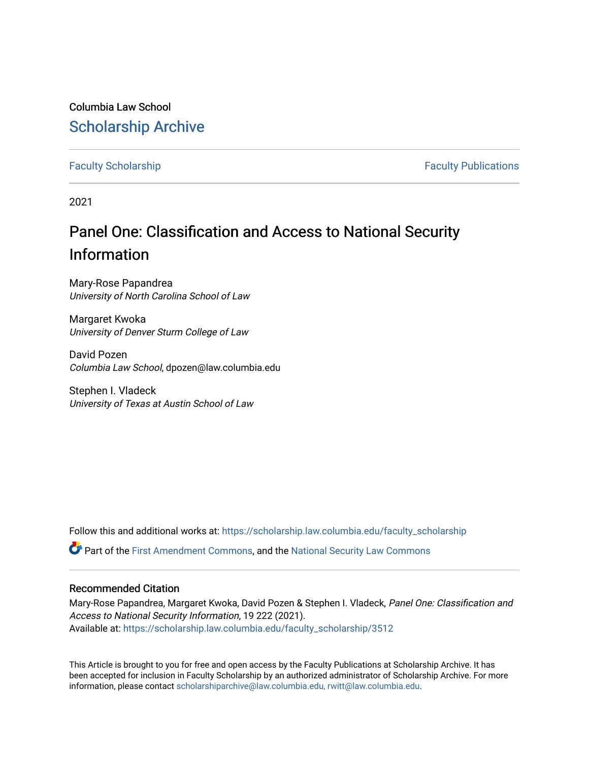## Columbia Law School [Scholarship Archive](https://scholarship.law.columbia.edu/)

[Faculty Scholarship](https://scholarship.law.columbia.edu/faculty_scholarship) **Faculty Scholarship Faculty Publications** 

2021

# Panel One: Classification and Access to National Security Information

Mary-Rose Papandrea University of North Carolina School of Law

Margaret Kwoka University of Denver Sturm College of Law

David Pozen Columbia Law School, dpozen@law.columbia.edu

Stephen I. Vladeck University of Texas at Austin School of Law

Follow this and additional works at: [https://scholarship.law.columbia.edu/faculty\\_scholarship](https://scholarship.law.columbia.edu/faculty_scholarship?utm_source=scholarship.law.columbia.edu%2Ffaculty_scholarship%2F3512&utm_medium=PDF&utm_campaign=PDFCoverPages)

**C** Part of the [First Amendment Commons,](https://network.bepress.com/hgg/discipline/1115?utm_source=scholarship.law.columbia.edu%2Ffaculty_scholarship%2F3512&utm_medium=PDF&utm_campaign=PDFCoverPages) and the National Security Law Commons

#### Recommended Citation

Mary-Rose Papandrea, Margaret Kwoka, David Pozen & Stephen I. Vladeck, Panel One: Classification and Access to National Security Information, 19 222 (2021). Available at: [https://scholarship.law.columbia.edu/faculty\\_scholarship/3512](https://scholarship.law.columbia.edu/faculty_scholarship/3512?utm_source=scholarship.law.columbia.edu%2Ffaculty_scholarship%2F3512&utm_medium=PDF&utm_campaign=PDFCoverPages)

This Article is brought to you for free and open access by the Faculty Publications at Scholarship Archive. It has been accepted for inclusion in Faculty Scholarship by an authorized administrator of Scholarship Archive. For more information, please contact [scholarshiparchive@law.columbia.edu, rwitt@law.columbia.edu](mailto:scholarshiparchive@law.columbia.edu,%20rwitt@law.columbia.edu).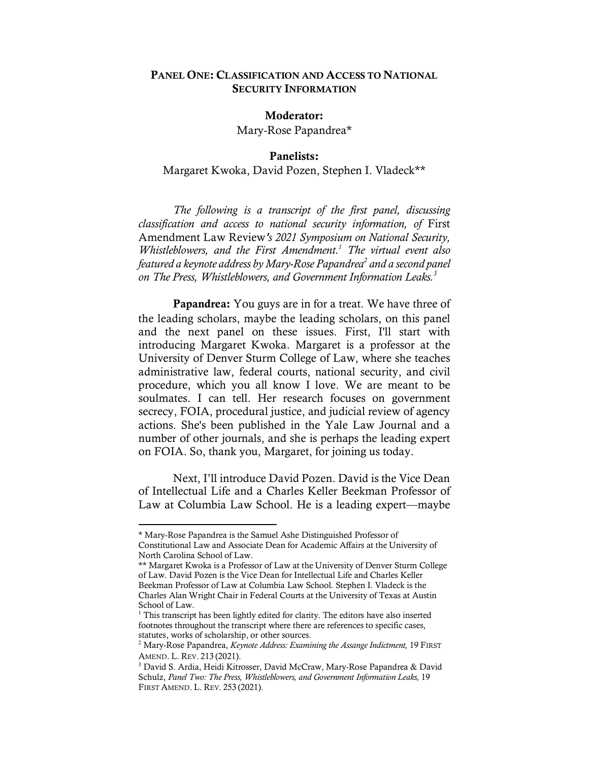#### PANEL ONE: CLASSIFICATION AND ACCESS TO NATIONAL SECURITY INFORMATION

### Moderator:

Mary-Rose Papandrea\*

#### Panelists: Margaret Kwoka, David Pozen, Stephen I. Vladeck\*\*

*The following is a transcript of the first panel, discussing classification and access to national security information, of* First Amendment Law Review*'s 2021 Symposium on National Security, Whistleblowers, and the First Amendment.1 The virtual event also featured a keynote address by Mary-Rose Papandrea2 and a second panel on The Press, Whistleblowers, and Government Information Leaks.3*

Papandrea: You guys are in for a treat. We have three of the leading scholars, maybe the leading scholars, on this panel and the next panel on these issues. First, I'll start with introducing Margaret Kwoka. Margaret is a professor at the University of Denver Sturm College of Law, where she teaches administrative law, federal courts, national security, and civil procedure, which you all know I love. We are meant to be soulmates. I can tell. Her research focuses on government secrecy, FOIA, procedural justice, and judicial review of agency actions. She's been published in the Yale Law Journal and a number of other journals, and she is perhaps the leading expert on FOIA. So, thank you, Margaret, for joining us today.

Next, I'll introduce David Pozen. David is the Vice Dean of Intellectual Life and a Charles Keller Beekman Professor of Law at Columbia Law School. He is a leading expert––maybe

<sup>\*</sup> Mary-Rose Papandrea is the Samuel Ashe Distinguished Professor of Constitutional Law and Associate Dean for Academic Affairs at the University of North Carolina School of Law.

<sup>\*\*</sup> Margaret Kwoka is a Professor of Law at the University of Denver Sturm College of Law. David Pozen is the Vice Dean for Intellectual Life and Charles Keller Beekman Professor of Law at Columbia Law School. Stephen I. Vladeck is the Charles Alan Wright Chair in Federal Courts at the University of Texas at Austin School of Law.

<sup>&</sup>lt;sup>1</sup> This transcript has been lightly edited for clarity. The editors have also inserted footnotes throughout the transcript where there are references to specific cases, statutes, works of scholarship, or other sources.

<sup>2</sup> Mary-Rose Papandrea, *Keynote Address: Examining the Assange Indictment,* 19 FIRST AMEND. L. REV. 213 (2021).

<sup>3</sup> David S. Ardia, Heidi Kitrosser, David McCraw, Mary-Rose Papandrea & David Schulz, *Panel Two: The Press, Whistleblowers, and Government Information Leaks,* 19 FIRST AMEND. L. REV. 253 (2021).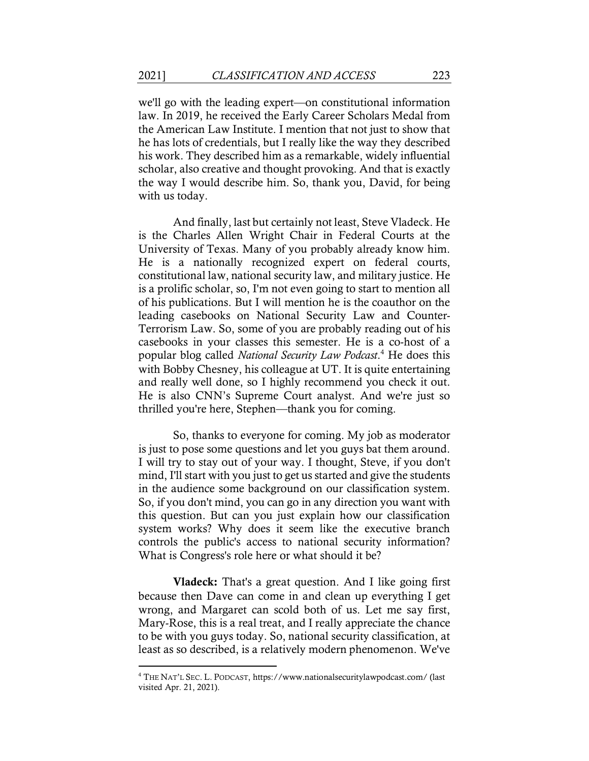we'll go with the leading expert––on constitutional information law. In 2019, he received the Early Career Scholars Medal from the American Law Institute. I mention that not just to show that he has lots of credentials, but I really like the way they described his work. They described him as a remarkable, widely influential scholar, also creative and thought provoking. And that is exactly the way I would describe him. So, thank you, David, for being with us today.

And finally, last but certainly not least, Steve Vladeck. He is the Charles Allen Wright Chair in Federal Courts at the University of Texas. Many of you probably already know him. He is a nationally recognized expert on federal courts, constitutional law, national security law, and military justice. He is a prolific scholar, so, I'm not even going to start to mention all of his publications. But I will mention he is the coauthor on the leading casebooks on National Security Law and Counter-Terrorism Law. So, some of you are probably reading out of his casebooks in your classes this semester. He is a co-host of a popular blog called *National Security Law Podcast*. <sup>4</sup> He does this with Bobby Chesney, his colleague at UT. It is quite entertaining and really well done, so I highly recommend you check it out. He is also CNN's Supreme Court analyst. And we're just so thrilled you're here, Stephen––thank you for coming.

So, thanks to everyone for coming. My job as moderator is just to pose some questions and let you guys bat them around. I will try to stay out of your way. I thought, Steve, if you don't mind, I'll start with you just to get us started and give the students in the audience some background on our classification system. So, if you don't mind, you can go in any direction you want with this question. But can you just explain how our classification system works? Why does it seem like the executive branch controls the public's access to national security information? What is Congress's role here or what should it be?

Vladeck: That's a great question. And I like going first because then Dave can come in and clean up everything I get wrong, and Margaret can scold both of us. Let me say first, Mary-Rose, this is a real treat, and I really appreciate the chance to be with you guys today. So, national security classification, at least as so described, is a relatively modern phenomenon. We've

<sup>4</sup> THE NAT'L SEC. L. PODCAST, https://www.nationalsecuritylawpodcast.com/ (last visited Apr. 21, 2021).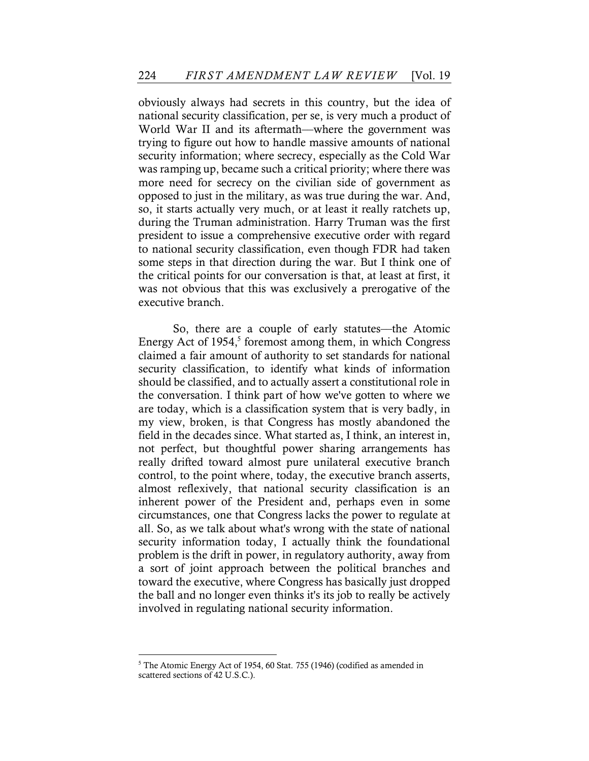obviously always had secrets in this country, but the idea of national security classification, per se, is very much a product of World War II and its aftermath—where the government was trying to figure out how to handle massive amounts of national security information; where secrecy, especially as the Cold War was ramping up, became such a critical priority; where there was more need for secrecy on the civilian side of government as opposed to just in the military, as was true during the war. And, so, it starts actually very much, or at least it really ratchets up, during the Truman administration. Harry Truman was the first president to issue a comprehensive executive order with regard to national security classification, even though FDR had taken some steps in that direction during the war. But I think one of the critical points for our conversation is that, at least at first, it was not obvious that this was exclusively a prerogative of the executive branch.

So, there are a couple of early statutes––the Atomic Energy Act of  $1954<sup>5</sup>$  foremost among them, in which Congress claimed a fair amount of authority to set standards for national security classification, to identify what kinds of information should be classified, and to actually assert a constitutional role in the conversation. I think part of how we've gotten to where we are today, which is a classification system that is very badly, in my view, broken, is that Congress has mostly abandoned the field in the decades since. What started as, I think, an interest in, not perfect, but thoughtful power sharing arrangements has really drifted toward almost pure unilateral executive branch control, to the point where, today, the executive branch asserts, almost reflexively, that national security classification is an inherent power of the President and, perhaps even in some circumstances, one that Congress lacks the power to regulate at all. So, as we talk about what's wrong with the state of national security information today, I actually think the foundational problem is the drift in power, in regulatory authority, away from a sort of joint approach between the political branches and toward the executive, where Congress has basically just dropped the ball and no longer even thinks it's its job to really be actively involved in regulating national security information.

<sup>&</sup>lt;sup>5</sup> The Atomic Energy Act of 1954, 60 Stat. 755 (1946) (codified as amended in scattered sections of 42 U.S.C.).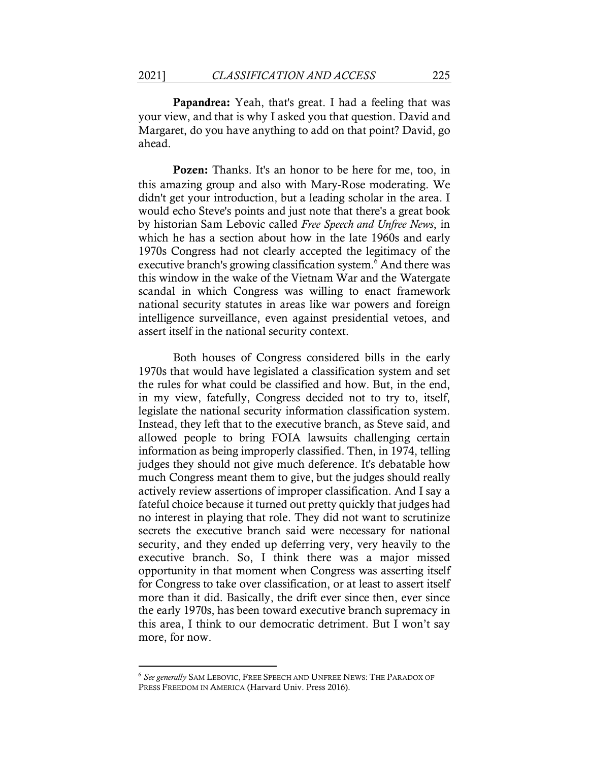Papandrea: Yeah, that's great. I had a feeling that was your view, and that is why I asked you that question. David and Margaret, do you have anything to add on that point? David, go ahead.

Pozen: Thanks. It's an honor to be here for me, too, in this amazing group and also with Mary-Rose moderating. We didn't get your introduction, but a leading scholar in the area. I would echo Steve's points and just note that there's a great book by historian Sam Lebovic called *Free Speech and Unfree News*, in which he has a section about how in the late 1960s and early 1970s Congress had not clearly accepted the legitimacy of the executive branch's growing classification system.<sup>6</sup> And there was this window in the wake of the Vietnam War and the Watergate scandal in which Congress was willing to enact framework national security statutes in areas like war powers and foreign intelligence surveillance, even against presidential vetoes, and assert itself in the national security context.

Both houses of Congress considered bills in the early 1970s that would have legislated a classification system and set the rules for what could be classified and how. But, in the end, in my view, fatefully, Congress decided not to try to, itself, legislate the national security information classification system. Instead, they left that to the executive branch, as Steve said, and allowed people to bring FOIA lawsuits challenging certain information as being improperly classified. Then, in 1974, telling judges they should not give much deference. It's debatable how much Congress meant them to give, but the judges should really actively review assertions of improper classification. And I say a fateful choice because it turned out pretty quickly that judges had no interest in playing that role. They did not want to scrutinize secrets the executive branch said were necessary for national security, and they ended up deferring very, very heavily to the executive branch. So, I think there was a major missed opportunity in that moment when Congress was asserting itself for Congress to take over classification, or at least to assert itself more than it did. Basically, the drift ever since then, ever since the early 1970s, has been toward executive branch supremacy in this area, I think to our democratic detriment. But I won't say more, for now.

<sup>6</sup> *See generally* SAM LEBOVIC, FREE SPEECH AND UNFREE NEWS: THE PARADOX OF PRESS FREEDOM IN AMERICA (Harvard Univ. Press 2016).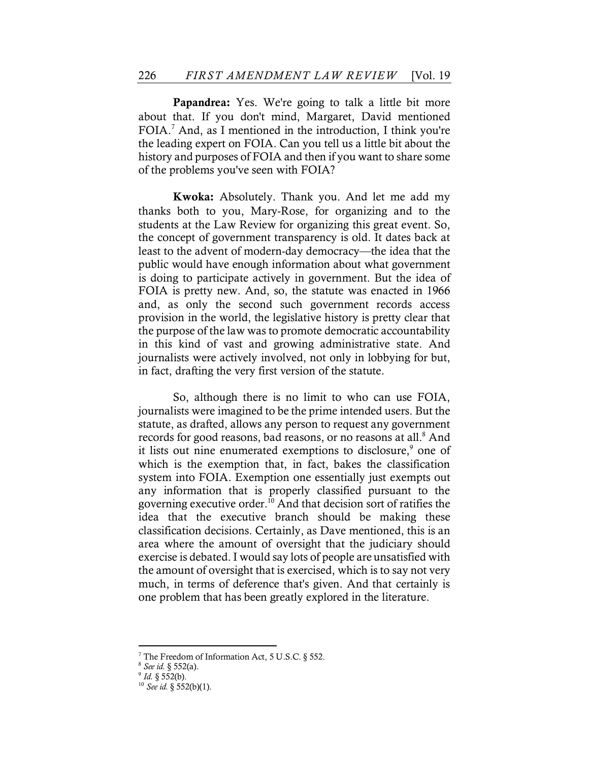Papandrea: Yes. We're going to talk a little bit more about that. If you don't mind, Margaret, David mentioned FOIA.7 And, as I mentioned in the introduction, I think you're the leading expert on FOIA. Can you tell us a little bit about the history and purposes of FOIA and then if you want to share some of the problems you've seen with FOIA?

Kwoka: Absolutely. Thank you. And let me add my thanks both to you, Mary-Rose, for organizing and to the students at the Law Review for organizing this great event. So, the concept of government transparency is old. It dates back at least to the advent of modern-day democracy––the idea that the public would have enough information about what government is doing to participate actively in government. But the idea of FOIA is pretty new. And, so, the statute was enacted in 1966 and, as only the second such government records access provision in the world, the legislative history is pretty clear that the purpose of the law was to promote democratic accountability in this kind of vast and growing administrative state. And journalists were actively involved, not only in lobbying for but, in fact, drafting the very first version of the statute.

So, although there is no limit to who can use FOIA, journalists were imagined to be the prime intended users. But the statute, as drafted, allows any person to request any government records for good reasons, bad reasons, or no reasons at all.<sup>8</sup> And it lists out nine enumerated exemptions to disclosure,<sup>9</sup> one of which is the exemption that, in fact, bakes the classification system into FOIA. Exemption one essentially just exempts out any information that is properly classified pursuant to the governing executive order.<sup>10</sup> And that decision sort of ratifies the idea that the executive branch should be making these classification decisions. Certainly, as Dave mentioned, this is an area where the amount of oversight that the judiciary should exercise is debated. I would say lots of people are unsatisfied with the amount of oversight that is exercised, which is to say not very much, in terms of deference that's given. And that certainly is one problem that has been greatly explored in the literature.

<sup>7</sup> The Freedom of Information Act, 5 U.S.C. § 552.

<sup>8</sup> *See id.* § 552(a).

 $^{9}$  *Id.* § 552(b).

<sup>10</sup> *See id.* § 552(b)(1).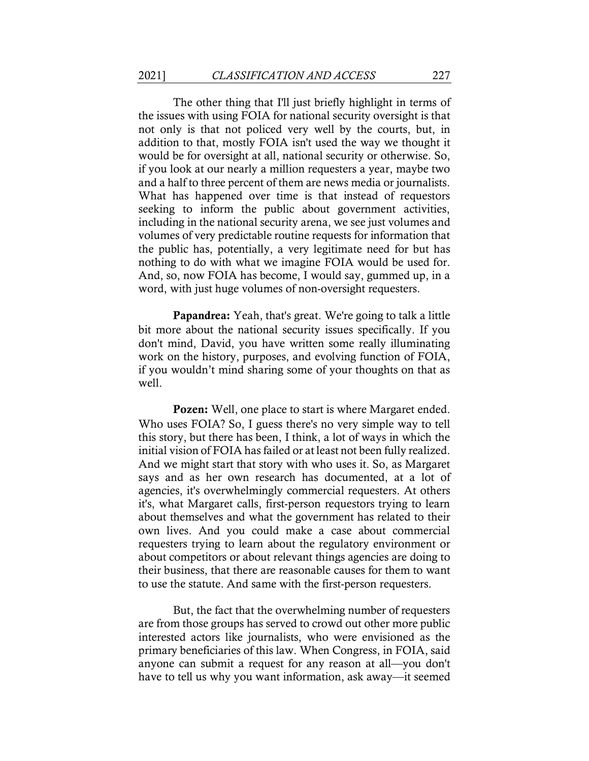The other thing that I'll just briefly highlight in terms of the issues with using FOIA for national security oversight is that not only is that not policed very well by the courts, but, in addition to that, mostly FOIA isn't used the way we thought it would be for oversight at all, national security or otherwise. So, if you look at our nearly a million requesters a year, maybe two and a half to three percent of them are news media or journalists. What has happened over time is that instead of requestors seeking to inform the public about government activities, including in the national security arena, we see just volumes and volumes of very predictable routine requests for information that the public has, potentially, a very legitimate need for but has nothing to do with what we imagine FOIA would be used for. And, so, now FOIA has become, I would say, gummed up, in a word, with just huge volumes of non-oversight requesters.

Papandrea: Yeah, that's great. We're going to talk a little bit more about the national security issues specifically. If you don't mind, David, you have written some really illuminating work on the history, purposes, and evolving function of FOIA, if you wouldn't mind sharing some of your thoughts on that as well.

Pozen: Well, one place to start is where Margaret ended. Who uses FOIA? So, I guess there's no very simple way to tell this story, but there has been, I think, a lot of ways in which the initial vision of FOIA has failed or at least not been fully realized. And we might start that story with who uses it. So, as Margaret says and as her own research has documented, at a lot of agencies, it's overwhelmingly commercial requesters. At others it's, what Margaret calls, first-person requestors trying to learn about themselves and what the government has related to their own lives. And you could make a case about commercial requesters trying to learn about the regulatory environment or about competitors or about relevant things agencies are doing to their business, that there are reasonable causes for them to want to use the statute. And same with the first-person requesters.

But, the fact that the overwhelming number of requesters are from those groups has served to crowd out other more public interested actors like journalists, who were envisioned as the primary beneficiaries of this law. When Congress, in FOIA, said anyone can submit a request for any reason at all––you don't have to tell us why you want information, ask away—it seemed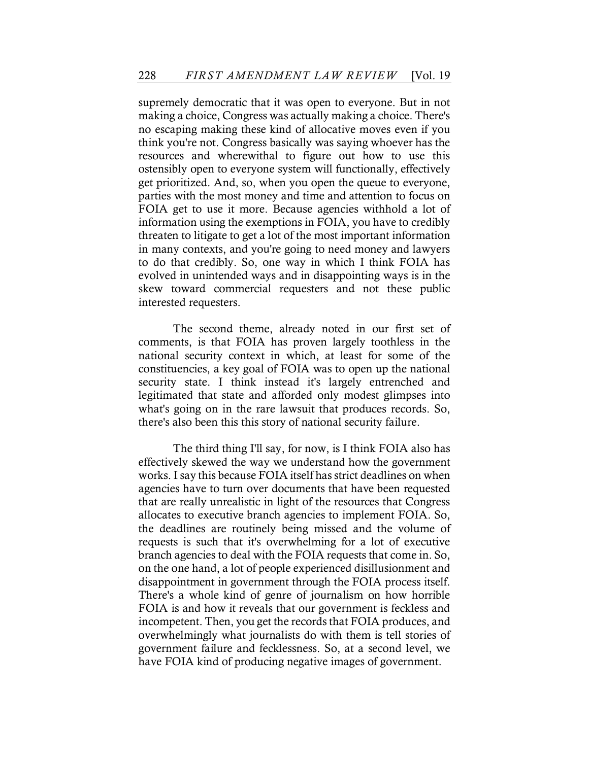supremely democratic that it was open to everyone. But in not making a choice, Congress was actually making a choice. There's no escaping making these kind of allocative moves even if you think you're not. Congress basically was saying whoever has the resources and wherewithal to figure out how to use this ostensibly open to everyone system will functionally, effectively get prioritized. And, so, when you open the queue to everyone, parties with the most money and time and attention to focus on FOIA get to use it more. Because agencies withhold a lot of information using the exemptions in FOIA, you have to credibly threaten to litigate to get a lot of the most important information in many contexts, and you're going to need money and lawyers to do that credibly. So, one way in which I think FOIA has evolved in unintended ways and in disappointing ways is in the skew toward commercial requesters and not these public interested requesters.

The second theme, already noted in our first set of comments, is that FOIA has proven largely toothless in the national security context in which, at least for some of the constituencies, a key goal of FOIA was to open up the national security state. I think instead it's largely entrenched and legitimated that state and afforded only modest glimpses into what's going on in the rare lawsuit that produces records. So, there's also been this this story of national security failure.

The third thing I'll say, for now, is I think FOIA also has effectively skewed the way we understand how the government works. I say this because FOIA itself has strict deadlines on when agencies have to turn over documents that have been requested that are really unrealistic in light of the resources that Congress allocates to executive branch agencies to implement FOIA. So, the deadlines are routinely being missed and the volume of requests is such that it's overwhelming for a lot of executive branch agencies to deal with the FOIA requests that come in. So, on the one hand, a lot of people experienced disillusionment and disappointment in government through the FOIA process itself. There's a whole kind of genre of journalism on how horrible FOIA is and how it reveals that our government is feckless and incompetent. Then, you get the records that FOIA produces, and overwhelmingly what journalists do with them is tell stories of government failure and fecklessness. So, at a second level, we have FOIA kind of producing negative images of government.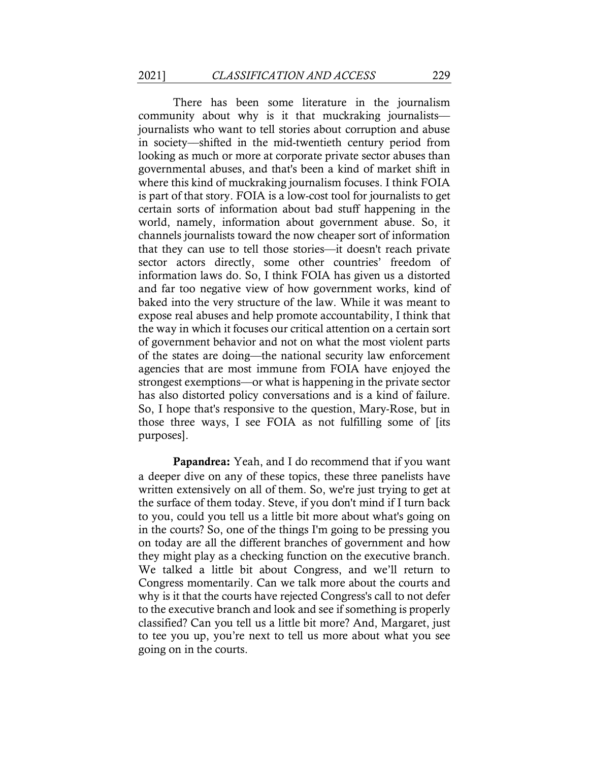There has been some literature in the journalism community about why is it that muckraking journalists journalists who want to tell stories about corruption and abuse in society––shifted in the mid-twentieth century period from looking as much or more at corporate private sector abuses than governmental abuses, and that's been a kind of market shift in where this kind of muckraking journalism focuses. I think FOIA is part of that story. FOIA is a low-cost tool for journalists to get certain sorts of information about bad stuff happening in the world, namely, information about government abuse. So, it channels journalists toward the now cheaper sort of information that they can use to tell those stories––it doesn't reach private sector actors directly, some other countries' freedom of information laws do. So, I think FOIA has given us a distorted and far too negative view of how government works, kind of baked into the very structure of the law. While it was meant to expose real abuses and help promote accountability, I think that the way in which it focuses our critical attention on a certain sort of government behavior and not on what the most violent parts of the states are doing––the national security law enforcement agencies that are most immune from FOIA have enjoyed the strongest exemptions––or what is happening in the private sector has also distorted policy conversations and is a kind of failure. So, I hope that's responsive to the question, Mary-Rose, but in those three ways, I see FOIA as not fulfilling some of [its purposes].

Papandrea: Yeah, and I do recommend that if you want a deeper dive on any of these topics, these three panelists have written extensively on all of them. So, we're just trying to get at the surface of them today. Steve, if you don't mind if I turn back to you, could you tell us a little bit more about what's going on in the courts? So, one of the things I'm going to be pressing you on today are all the different branches of government and how they might play as a checking function on the executive branch. We talked a little bit about Congress, and we'll return to Congress momentarily. Can we talk more about the courts and why is it that the courts have rejected Congress's call to not defer to the executive branch and look and see if something is properly classified? Can you tell us a little bit more? And, Margaret, just to tee you up, you're next to tell us more about what you see going on in the courts.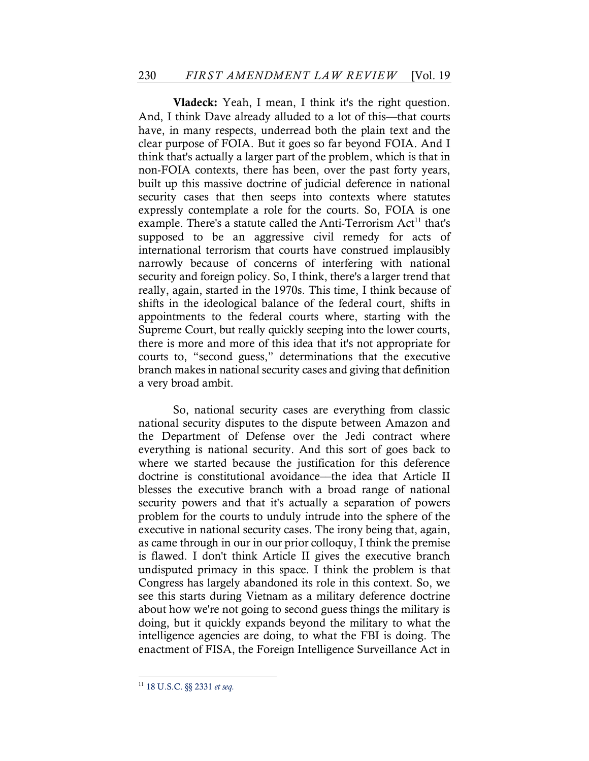Vladeck: Yeah, I mean, I think it's the right question. And, I think Dave already alluded to a lot of this—that courts have, in many respects, underread both the plain text and the clear purpose of FOIA. But it goes so far beyond FOIA. And I think that's actually a larger part of the problem, which is that in non-FOIA contexts, there has been, over the past forty years, built up this massive doctrine of judicial deference in national security cases that then seeps into contexts where statutes expressly contemplate a role for the courts. So, FOIA is one example. There's a statute called the Anti-Terrorism  $Act<sup>11</sup>$  that's supposed to be an aggressive civil remedy for acts of international terrorism that courts have construed implausibly narrowly because of concerns of interfering with national security and foreign policy. So, I think, there's a larger trend that really, again, started in the 1970s. This time, I think because of shifts in the ideological balance of the federal court, shifts in appointments to the federal courts where, starting with the Supreme Court, but really quickly seeping into the lower courts, there is more and more of this idea that it's not appropriate for courts to, "second guess," determinations that the executive branch makes in national security cases and giving that definition a very broad ambit.

So, national security cases are everything from classic national security disputes to the dispute between Amazon and the Department of Defense over the Jedi contract where everything is national security. And this sort of goes back to where we started because the justification for this deference doctrine is constitutional avoidance––the idea that Article II blesses the executive branch with a broad range of national security powers and that it's actually a separation of powers problem for the courts to unduly intrude into the sphere of the executive in national security cases. The irony being that, again, as came through in our in our prior colloquy, I think the premise is flawed. I don't think Article II gives the executive branch undisputed primacy in this space. I think the problem is that Congress has largely abandoned its role in this context. So, we see this starts during Vietnam as a military deference doctrine about how we're not going to second guess things the military is doing, but it quickly expands beyond the military to what the intelligence agencies are doing, to what the FBI is doing. The enactment of FISA, the Foreign Intelligence Surveillance Act in

<sup>11</sup> 18 U.S.C. §§ 2331 *et seq.*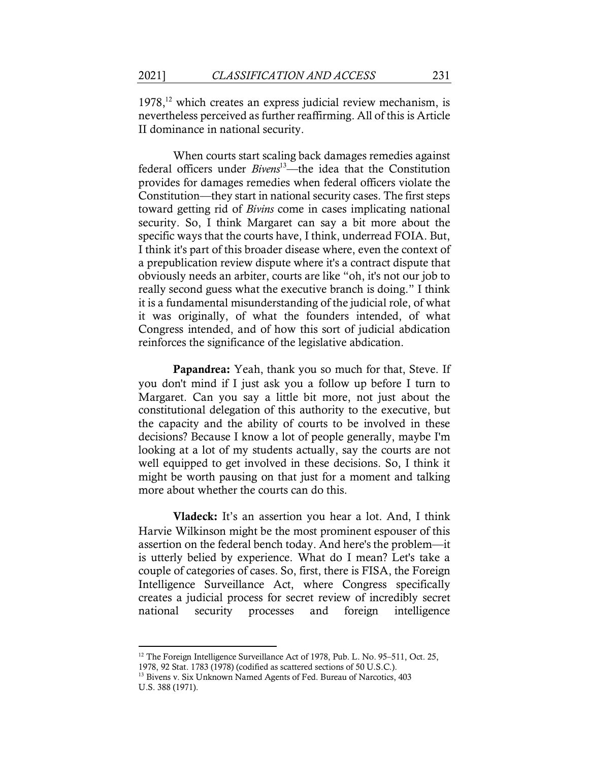$1978$ ,<sup>12</sup> which creates an express judicial review mechanism, is nevertheless perceived as further reaffirming. All of this is Article II dominance in national security.

When courts start scaling back damages remedies against federal officers under *Bivens*13––the idea that the Constitution provides for damages remedies when federal officers violate the Constitution––they start in national security cases. The first steps toward getting rid of *Bivins* come in cases implicating national security. So, I think Margaret can say a bit more about the specific ways that the courts have, I think, underread FOIA. But, I think it's part of this broader disease where, even the context of a prepublication review dispute where it's a contract dispute that obviously needs an arbiter, courts are like "oh, it's not our job to really second guess what the executive branch is doing." I think it is a fundamental misunderstanding of the judicial role, of what it was originally, of what the founders intended, of what Congress intended, and of how this sort of judicial abdication reinforces the significance of the legislative abdication.

Papandrea: Yeah, thank you so much for that, Steve. If you don't mind if I just ask you a follow up before I turn to Margaret. Can you say a little bit more, not just about the constitutional delegation of this authority to the executive, but the capacity and the ability of courts to be involved in these decisions? Because I know a lot of people generally, maybe I'm looking at a lot of my students actually, say the courts are not well equipped to get involved in these decisions. So, I think it might be worth pausing on that just for a moment and talking more about whether the courts can do this.

Vladeck: It's an assertion you hear a lot. And, I think Harvie Wilkinson might be the most prominent espouser of this assertion on the federal bench today. And here's the problem––it is utterly belied by experience. What do I mean? Let's take a couple of categories of cases. So, first, there is FISA, the Foreign Intelligence Surveillance Act, where Congress specifically creates a judicial process for secret review of incredibly secret national security processes and foreign intelligence

<sup>&</sup>lt;sup>12</sup> The Foreign Intelligence Surveillance Act of 1978, Pub. L. No. 95–511, Oct. 25, 1978, 92 Stat. 1783 (1978) (codified as scattered sections of 50 U.S.C.).

<sup>&</sup>lt;sup>13</sup> Bivens v. Six Unknown Named Agents of Fed. Bureau of Narcotics, 403 U.S. 388 (1971).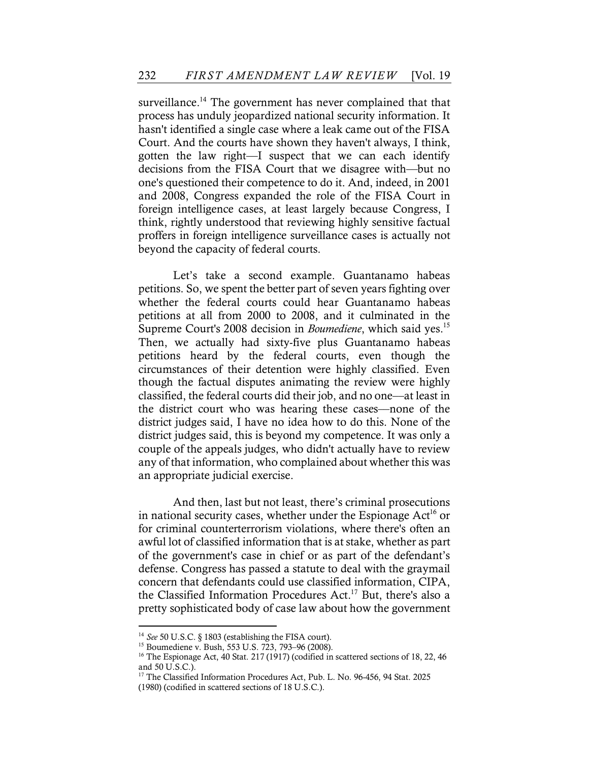surveillance.<sup>14</sup> The government has never complained that that process has unduly jeopardized national security information. It hasn't identified a single case where a leak came out of the FISA Court. And the courts have shown they haven't always, I think, gotten the law right––I suspect that we can each identify decisions from the FISA Court that we disagree with––but no one's questioned their competence to do it. And, indeed, in 2001 and 2008, Congress expanded the role of the FISA Court in foreign intelligence cases, at least largely because Congress, I think, rightly understood that reviewing highly sensitive factual proffers in foreign intelligence surveillance cases is actually not beyond the capacity of federal courts.

Let's take a second example. Guantanamo habeas petitions. So, we spent the better part of seven years fighting over whether the federal courts could hear Guantanamo habeas petitions at all from 2000 to 2008, and it culminated in the Supreme Court's 2008 decision in *Boumediene*, which said yes.15 Then, we actually had sixty-five plus Guantanamo habeas petitions heard by the federal courts, even though the circumstances of their detention were highly classified. Even though the factual disputes animating the review were highly classified, the federal courts did their job, and no one––at least in the district court who was hearing these cases––none of the district judges said, I have no idea how to do this. None of the district judges said, this is beyond my competence. It was only a couple of the appeals judges, who didn't actually have to review any of that information, who complained about whether this was an appropriate judicial exercise.

And then, last but not least, there's criminal prosecutions in national security cases, whether under the Espionage  $Act^{16}$  or for criminal counterterrorism violations, where there's often an awful lot of classified information that is at stake, whether as part of the government's case in chief or as part of the defendant's defense. Congress has passed a statute to deal with the graymail concern that defendants could use classified information, CIPA, the Classified Information Procedures Act.<sup>17</sup> But, there's also a pretty sophisticated body of case law about how the government

<sup>14</sup> *See* 50 U.S.C. § 1803 (establishing the FISA court).

<sup>15</sup> Boumediene v. Bush, 553 U.S. 723, 793–96 (2008).

<sup>&</sup>lt;sup>16</sup> The Espionage Act, 40 Stat. 217 (1917) (codified in scattered sections of 18, 22, 46 and 50 U.S.C.).

<sup>&</sup>lt;sup>17</sup> The Classified Information Procedures Act, Pub. L. No. 96-456, 94 Stat. 2025 (1980) (codified in scattered sections of 18 U.S.C.).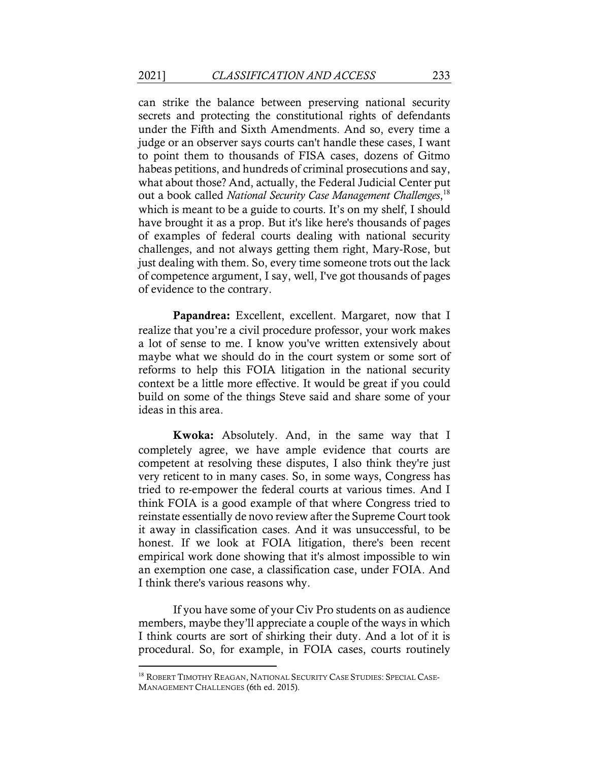can strike the balance between preserving national security secrets and protecting the constitutional rights of defendants under the Fifth and Sixth Amendments. And so, every time a judge or an observer says courts can't handle these cases, I want to point them to thousands of FISA cases, dozens of Gitmo habeas petitions, and hundreds of criminal prosecutions and say, what about those? And, actually, the Federal Judicial Center put out a book called *National Security Case Management Challenges*, 18 which is meant to be a guide to courts. It's on my shelf, I should have brought it as a prop. But it's like here's thousands of pages of examples of federal courts dealing with national security challenges, and not always getting them right, Mary-Rose, but just dealing with them. So, every time someone trots out the lack of competence argument, I say, well, I've got thousands of pages of evidence to the contrary.

Papandrea: Excellent, excellent. Margaret, now that I realize that you're a civil procedure professor, your work makes a lot of sense to me. I know you've written extensively about maybe what we should do in the court system or some sort of reforms to help this FOIA litigation in the national security context be a little more effective. It would be great if you could build on some of the things Steve said and share some of your ideas in this area.

Kwoka: Absolutely. And, in the same way that I completely agree, we have ample evidence that courts are competent at resolving these disputes, I also think they're just very reticent to in many cases. So, in some ways, Congress has tried to re-empower the federal courts at various times. And I think FOIA is a good example of that where Congress tried to reinstate essentially de novo review after the Supreme Court took it away in classification cases. And it was unsuccessful, to be honest. If we look at FOIA litigation, there's been recent empirical work done showing that it's almost impossible to win an exemption one case, a classification case, under FOIA. And I think there's various reasons why.

If you have some of your Civ Pro students on as audience members, maybe they'll appreciate a couple of the ways in which I think courts are sort of shirking their duty. And a lot of it is procedural. So, for example, in FOIA cases, courts routinely

<sup>&</sup>lt;sup>18</sup> ROBERT TIMOTHY REAGAN, NATIONAL SECURITY CASE STUDIES: SPECIAL CASE-MANAGEMENT CHALLENGES (6th ed. 2015).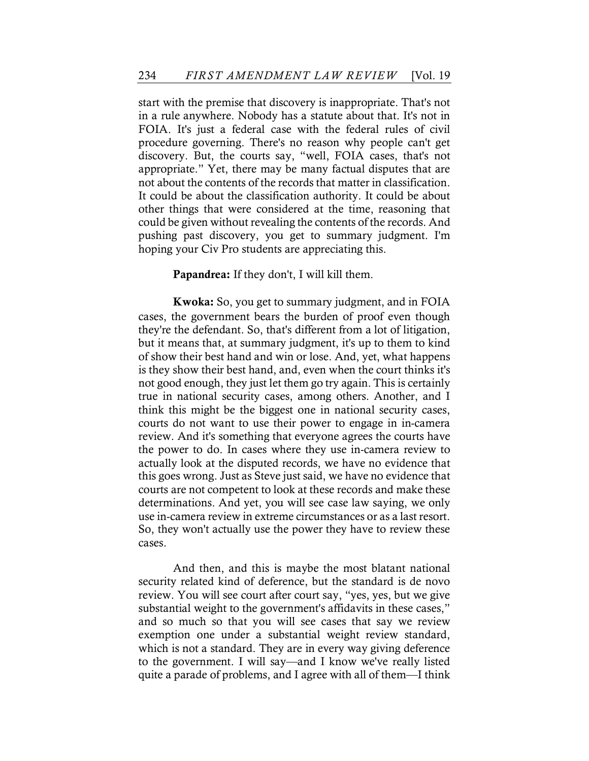start with the premise that discovery is inappropriate. That's not in a rule anywhere. Nobody has a statute about that. It's not in FOIA. It's just a federal case with the federal rules of civil procedure governing. There's no reason why people can't get discovery. But, the courts say, "well, FOIA cases, that's not appropriate." Yet, there may be many factual disputes that are not about the contents of the records that matter in classification. It could be about the classification authority. It could be about other things that were considered at the time, reasoning that could be given without revealing the contents of the records. And pushing past discovery, you get to summary judgment. I'm hoping your Civ Pro students are appreciating this.

#### Papandrea: If they don't, I will kill them.

Kwoka: So, you get to summary judgment, and in FOIA cases, the government bears the burden of proof even though they're the defendant. So, that's different from a lot of litigation, but it means that, at summary judgment, it's up to them to kind of show their best hand and win or lose. And, yet, what happens is they show their best hand, and, even when the court thinks it's not good enough, they just let them go try again. This is certainly true in national security cases, among others. Another, and I think this might be the biggest one in national security cases, courts do not want to use their power to engage in in-camera review. And it's something that everyone agrees the courts have the power to do. In cases where they use in-camera review to actually look at the disputed records, we have no evidence that this goes wrong. Just as Steve just said, we have no evidence that courts are not competent to look at these records and make these determinations. And yet, you will see case law saying, we only use in-camera review in extreme circumstances or as a last resort. So, they won't actually use the power they have to review these cases.

And then, and this is maybe the most blatant national security related kind of deference, but the standard is de novo review. You will see court after court say, "yes, yes, but we give substantial weight to the government's affidavits in these cases," and so much so that you will see cases that say we review exemption one under a substantial weight review standard, which is not a standard. They are in every way giving deference to the government. I will say––and I know we've really listed quite a parade of problems, and I agree with all of them––I think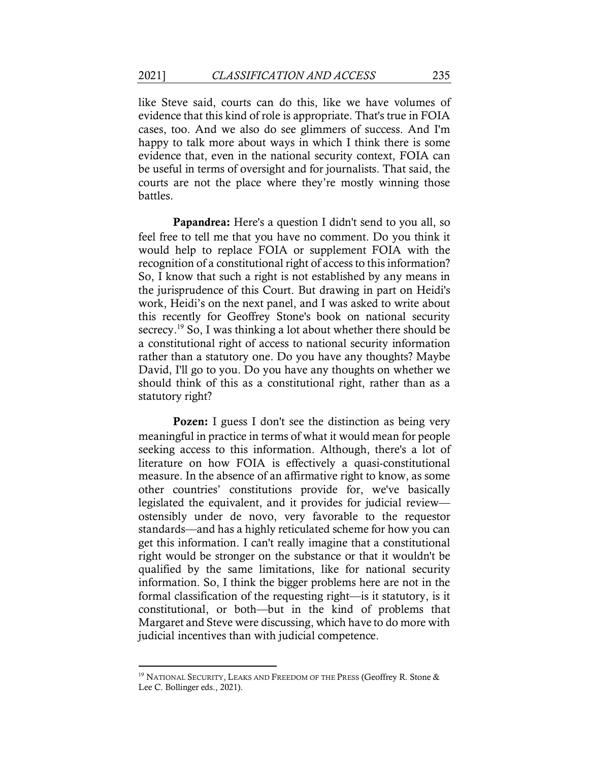like Steve said, courts can do this, like we have volumes of evidence that this kind of role is appropriate. That's true in FOIA cases, too. And we also do see glimmers of success. And I'm happy to talk more about ways in which I think there is some evidence that, even in the national security context, FOIA can be useful in terms of oversight and for journalists. That said, the courts are not the place where they're mostly winning those battles.

Papandrea: Here's a question I didn't send to you all, so feel free to tell me that you have no comment. Do you think it would help to replace FOIA or supplement FOIA with the recognition of a constitutional right of access to this information? So, I know that such a right is not established by any means in the jurisprudence of this Court. But drawing in part on Heidi's work, Heidi's on the next panel, and I was asked to write about this recently for Geoffrey Stone's book on national security secrecy.19 So, I was thinking a lot about whether there should be a constitutional right of access to national security information rather than a statutory one. Do you have any thoughts? Maybe David, I'll go to you. Do you have any thoughts on whether we should think of this as a constitutional right, rather than as a statutory right?

Pozen: I guess I don't see the distinction as being very meaningful in practice in terms of what it would mean for people seeking access to this information. Although, there's a lot of literature on how FOIA is effectively a quasi-constitutional measure. In the absence of an affirmative right to know, as some other countries' constitutions provide for, we've basically legislated the equivalent, and it provides for judicial review–– ostensibly under de novo, very favorable to the requestor standards––and has a highly reticulated scheme for how you can get this information. I can't really imagine that a constitutional right would be stronger on the substance or that it wouldn't be qualified by the same limitations, like for national security information. So, I think the bigger problems here are not in the formal classification of the requesting right––is it statutory, is it constitutional, or both––but in the kind of problems that Margaret and Steve were discussing, which have to do more with judicial incentives than with judicial competence.

<sup>&</sup>lt;sup>19</sup> NATIONAL SECURITY, LEAKS AND FREEDOM OF THE PRESS (Geoffrey R. Stone  $\&$ Lee C. Bollinger eds., 2021).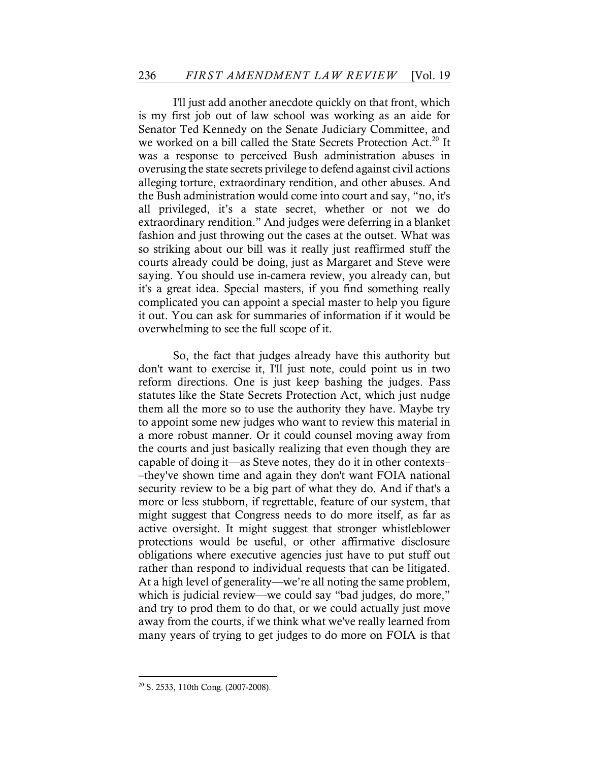I'll just add another anecdote quickly on that front, which is my first job out of law school was working as an aide for Senator Ted Kennedy on the Senate Judiciary Committee, and we worked on a bill called the State Secrets Protection Act.<sup>20</sup> It was a response to perceived Bush administration abuses in overusing the state secrets privilege to defend against civil actions alleging torture, extraordinary rendition, and other abuses. And the Bush administration would come into court and say, "no, it's all privileged, it's a state secret, whether or not we do extraordinary rendition." And judges were deferring in a blanket fashion and just throwing out the cases at the outset. What was so striking about our bill was it really just reaffirmed stuff the courts already could be doing, just as Margaret and Steve were saying. You should use in-camera review, you already can, but it's a great idea. Special masters, if you find something really complicated you can appoint a special master to help you figure it out. You can ask for summaries of information if it would be overwhelming to see the full scope of it.

So, the fact that judges already have this authority but don't want to exercise it, I'll just note, could point us in two reform directions. One is just keep bashing the judges. Pass statutes like the State Secrets Protection Act, which just nudge them all the more so to use the authority they have. Maybe try to appoint some new judges who want to review this material in a more robust manner. Or it could counsel moving away from the courts and just basically realizing that even though they are capable of doing it––as Steve notes, they do it in other contexts– –they've shown time and again they don't want FOIA national security review to be a big part of what they do. And if that's a more or less stubborn, if regrettable, feature of our system, that might suggest that Congress needs to do more itself, as far as active oversight. It might suggest that stronger whistleblower protections would be useful, or other affirmative disclosure obligations where executive agencies just have to put stuff out rather than respond to individual requests that can be litigated. At a high level of generality—we're all noting the same problem, which is judicial review—we could say "bad judges, do more," and try to prod them to do that, or we could actually just move away from the courts, if we think what we've really learned from many years of trying to get judges to do more on FOIA is that

<sup>20</sup> S. 2533, 110th Cong. (2007-2008).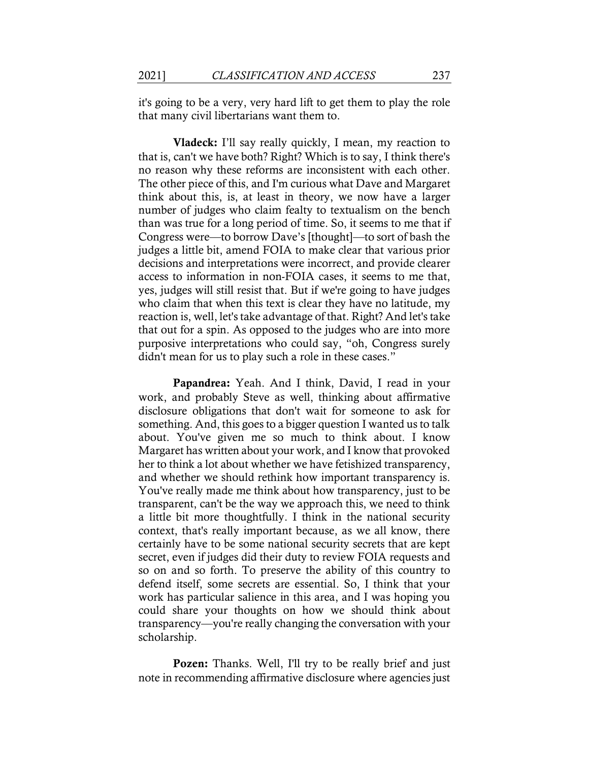it's going to be a very, very hard lift to get them to play the role that many civil libertarians want them to.

Vladeck: I'll say really quickly, I mean, my reaction to that is, can't we have both? Right? Which is to say, I think there's no reason why these reforms are inconsistent with each other. The other piece of this, and I'm curious what Dave and Margaret think about this, is, at least in theory, we now have a larger number of judges who claim fealty to textualism on the bench than was true for a long period of time. So, it seems to me that if Congress were––to borrow Dave's [thought]––to sort of bash the judges a little bit, amend FOIA to make clear that various prior decisions and interpretations were incorrect, and provide clearer access to information in non-FOIA cases, it seems to me that, yes, judges will still resist that. But if we're going to have judges who claim that when this text is clear they have no latitude, my reaction is, well, let's take advantage of that. Right? And let's take that out for a spin. As opposed to the judges who are into more purposive interpretations who could say, "oh, Congress surely didn't mean for us to play such a role in these cases."

Papandrea: Yeah. And I think, David, I read in your work, and probably Steve as well, thinking about affirmative disclosure obligations that don't wait for someone to ask for something. And, this goes to a bigger question I wanted us to talk about. You've given me so much to think about. I know Margaret has written about your work, and I know that provoked her to think a lot about whether we have fetishized transparency, and whether we should rethink how important transparency is. You've really made me think about how transparency, just to be transparent, can't be the way we approach this, we need to think a little bit more thoughtfully. I think in the national security context, that's really important because, as we all know, there certainly have to be some national security secrets that are kept secret, even if judges did their duty to review FOIA requests and so on and so forth. To preserve the ability of this country to defend itself, some secrets are essential. So, I think that your work has particular salience in this area, and I was hoping you could share your thoughts on how we should think about transparency––you're really changing the conversation with your scholarship.

**Pozen:** Thanks. Well, I'll try to be really brief and just note in recommending affirmative disclosure where agencies just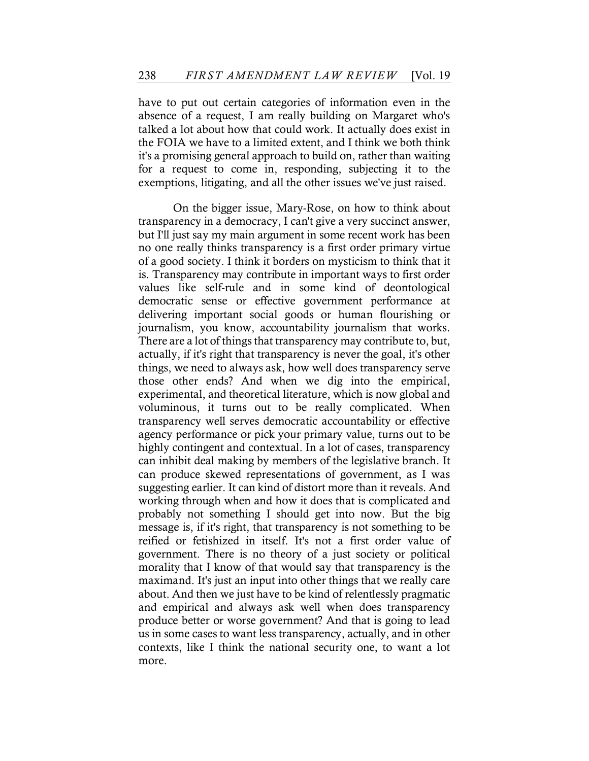have to put out certain categories of information even in the absence of a request, I am really building on Margaret who's talked a lot about how that could work. It actually does exist in the FOIA we have to a limited extent, and I think we both think it's a promising general approach to build on, rather than waiting for a request to come in, responding, subjecting it to the exemptions, litigating, and all the other issues we've just raised.

On the bigger issue, Mary-Rose, on how to think about transparency in a democracy, I can't give a very succinct answer, but I'll just say my main argument in some recent work has been no one really thinks transparency is a first order primary virtue of a good society. I think it borders on mysticism to think that it is. Transparency may contribute in important ways to first order values like self-rule and in some kind of deontological democratic sense or effective government performance at delivering important social goods or human flourishing or journalism, you know, accountability journalism that works. There are a lot of things that transparency may contribute to, but, actually, if it's right that transparency is never the goal, it's other things, we need to always ask, how well does transparency serve those other ends? And when we dig into the empirical, experimental, and theoretical literature, which is now global and voluminous, it turns out to be really complicated. When transparency well serves democratic accountability or effective agency performance or pick your primary value, turns out to be highly contingent and contextual. In a lot of cases, transparency can inhibit deal making by members of the legislative branch. It can produce skewed representations of government, as I was suggesting earlier. It can kind of distort more than it reveals. And working through when and how it does that is complicated and probably not something I should get into now. But the big message is, if it's right, that transparency is not something to be reified or fetishized in itself. It's not a first order value of government. There is no theory of a just society or political morality that I know of that would say that transparency is the maximand. It's just an input into other things that we really care about. And then we just have to be kind of relentlessly pragmatic and empirical and always ask well when does transparency produce better or worse government? And that is going to lead us in some cases to want less transparency, actually, and in other contexts, like I think the national security one, to want a lot more.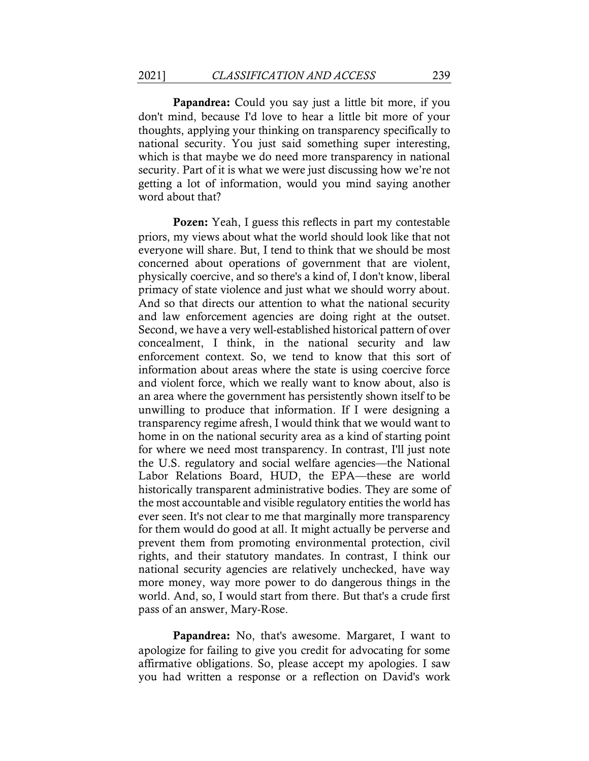Papandrea: Could you say just a little bit more, if you don't mind, because I'd love to hear a little bit more of your thoughts, applying your thinking on transparency specifically to national security. You just said something super interesting, which is that maybe we do need more transparency in national security. Part of it is what we were just discussing how we're not getting a lot of information, would you mind saying another word about that?

Pozen: Yeah, I guess this reflects in part my contestable priors, my views about what the world should look like that not everyone will share. But, I tend to think that we should be most concerned about operations of government that are violent, physically coercive, and so there's a kind of, I don't know, liberal primacy of state violence and just what we should worry about. And so that directs our attention to what the national security and law enforcement agencies are doing right at the outset. Second, we have a very well-established historical pattern of over concealment, I think, in the national security and law enforcement context. So, we tend to know that this sort of information about areas where the state is using coercive force and violent force, which we really want to know about, also is an area where the government has persistently shown itself to be unwilling to produce that information. If I were designing a transparency regime afresh, I would think that we would want to home in on the national security area as a kind of starting point for where we need most transparency. In contrast, I'll just note the U.S. regulatory and social welfare agencies––the National Labor Relations Board, HUD, the EPA-these are world historically transparent administrative bodies. They are some of the most accountable and visible regulatory entities the world has ever seen. It's not clear to me that marginally more transparency for them would do good at all. It might actually be perverse and prevent them from promoting environmental protection, civil rights, and their statutory mandates. In contrast, I think our national security agencies are relatively unchecked, have way more money, way more power to do dangerous things in the world. And, so, I would start from there. But that's a crude first pass of an answer, Mary-Rose.

Papandrea: No, that's awesome. Margaret, I want to apologize for failing to give you credit for advocating for some affirmative obligations. So, please accept my apologies. I saw you had written a response or a reflection on David's work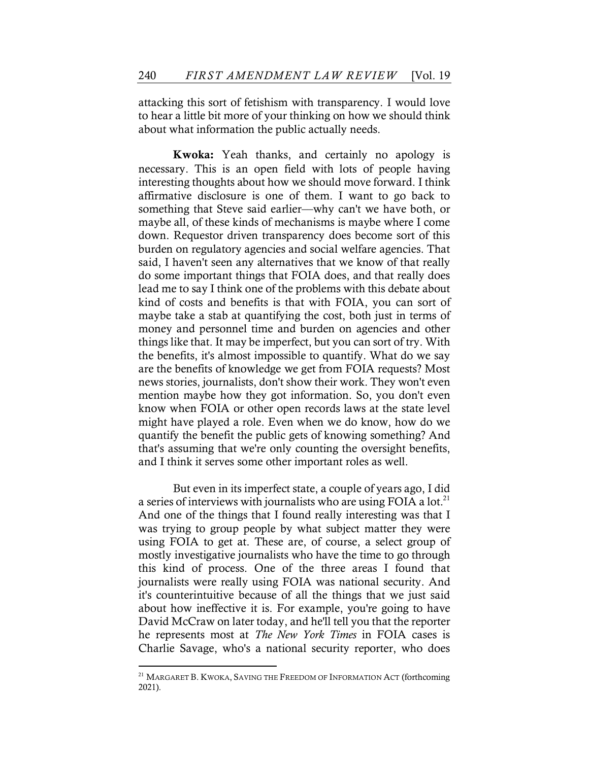attacking this sort of fetishism with transparency. I would love to hear a little bit more of your thinking on how we should think about what information the public actually needs.

Kwoka: Yeah thanks, and certainly no apology is necessary. This is an open field with lots of people having interesting thoughts about how we should move forward. I think affirmative disclosure is one of them. I want to go back to something that Steve said earlier—why can't we have both, or maybe all, of these kinds of mechanisms is maybe where I come down. Requestor driven transparency does become sort of this burden on regulatory agencies and social welfare agencies. That said, I haven't seen any alternatives that we know of that really do some important things that FOIA does, and that really does lead me to say I think one of the problems with this debate about kind of costs and benefits is that with FOIA, you can sort of maybe take a stab at quantifying the cost, both just in terms of money and personnel time and burden on agencies and other things like that. It may be imperfect, but you can sort of try. With the benefits, it's almost impossible to quantify. What do we say are the benefits of knowledge we get from FOIA requests? Most news stories, journalists, don't show their work. They won't even mention maybe how they got information. So, you don't even know when FOIA or other open records laws at the state level might have played a role. Even when we do know, how do we quantify the benefit the public gets of knowing something? And that's assuming that we're only counting the oversight benefits, and I think it serves some other important roles as well.

But even in its imperfect state, a couple of years ago, I did a series of interviews with journalists who are using FOIA a lot.<sup>21</sup> And one of the things that I found really interesting was that I was trying to group people by what subject matter they were using FOIA to get at. These are, of course, a select group of mostly investigative journalists who have the time to go through this kind of process. One of the three areas I found that journalists were really using FOIA was national security. And it's counterintuitive because of all the things that we just said about how ineffective it is. For example, you're going to have David McCraw on later today, and he'll tell you that the reporter he represents most at *The New York Times* in FOIA cases is Charlie Savage, who's a national security reporter, who does

<sup>&</sup>lt;sup>21</sup> MARGARET B. KWOKA, SAVING THE FREEDOM OF INFORMATION ACT (forthcoming 2021).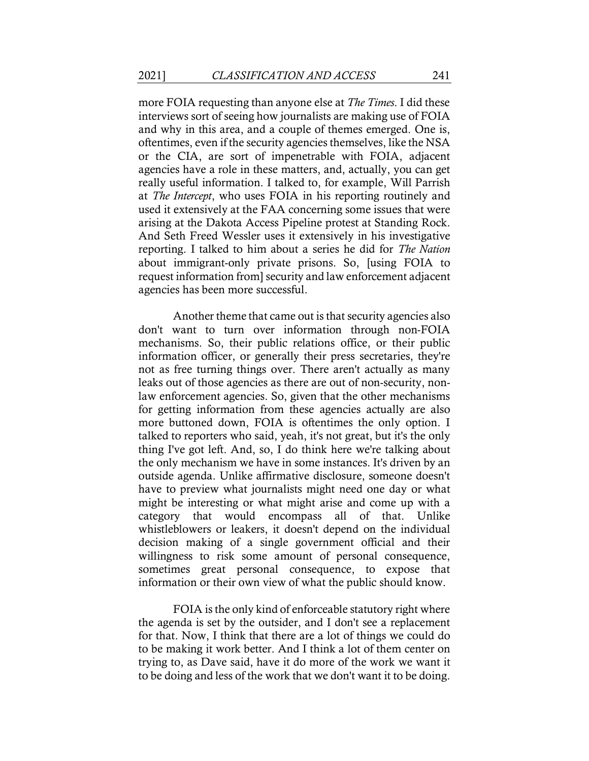more FOIA requesting than anyone else at *The Times*. I did these interviews sort of seeing how journalists are making use of FOIA and why in this area, and a couple of themes emerged. One is, oftentimes, even if the security agencies themselves, like the NSA or the CIA, are sort of impenetrable with FOIA, adjacent agencies have a role in these matters, and, actually, you can get really useful information. I talked to, for example, Will Parrish at *The Intercept*, who uses FOIA in his reporting routinely and used it extensively at the FAA concerning some issues that were arising at the Dakota Access Pipeline protest at Standing Rock. And Seth Freed Wessler uses it extensively in his investigative reporting. I talked to him about a series he did for *The Nation* about immigrant-only private prisons. So, [using FOIA to request information from] security and law enforcement adjacent agencies has been more successful.

Another theme that came out is that security agencies also don't want to turn over information through non-FOIA mechanisms. So, their public relations office, or their public information officer, or generally their press secretaries, they're not as free turning things over. There aren't actually as many leaks out of those agencies as there are out of non-security, nonlaw enforcement agencies. So, given that the other mechanisms for getting information from these agencies actually are also more buttoned down, FOIA is oftentimes the only option. I talked to reporters who said, yeah, it's not great, but it's the only thing I've got left. And, so, I do think here we're talking about the only mechanism we have in some instances. It's driven by an outside agenda. Unlike affirmative disclosure, someone doesn't have to preview what journalists might need one day or what might be interesting or what might arise and come up with a category that would encompass all of that. Unlike whistleblowers or leakers, it doesn't depend on the individual decision making of a single government official and their willingness to risk some amount of personal consequence, sometimes great personal consequence, to expose that information or their own view of what the public should know.

FOIA is the only kind of enforceable statutory right where the agenda is set by the outsider, and I don't see a replacement for that. Now, I think that there are a lot of things we could do to be making it work better. And I think a lot of them center on trying to, as Dave said, have it do more of the work we want it to be doing and less of the work that we don't want it to be doing.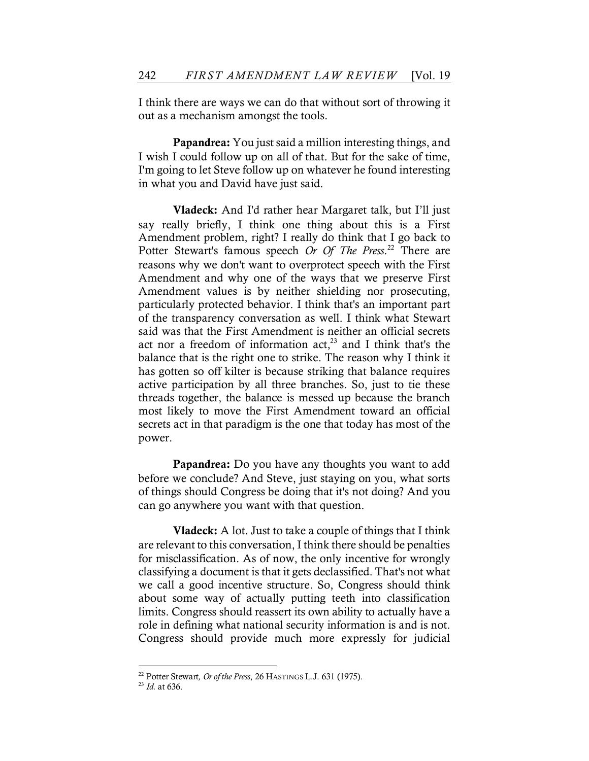I think there are ways we can do that without sort of throwing it out as a mechanism amongst the tools.

Papandrea: You just said a million interesting things, and I wish I could follow up on all of that. But for the sake of time, I'm going to let Steve follow up on whatever he found interesting in what you and David have just said.

Vladeck: And I'd rather hear Margaret talk, but I'll just say really briefly, I think one thing about this is a First Amendment problem, right? I really do think that I go back to Potter Stewart's famous speech *Or Of The Press*. <sup>22</sup> There are reasons why we don't want to overprotect speech with the First Amendment and why one of the ways that we preserve First Amendment values is by neither shielding nor prosecuting, particularly protected behavior. I think that's an important part of the transparency conversation as well. I think what Stewart said was that the First Amendment is neither an official secrets act nor a freedom of information  $act<sub>1</sub><sup>23</sup>$  and I think that's the balance that is the right one to strike. The reason why I think it has gotten so off kilter is because striking that balance requires active participation by all three branches. So, just to tie these threads together, the balance is messed up because the branch most likely to move the First Amendment toward an official secrets act in that paradigm is the one that today has most of the power.

Papandrea: Do you have any thoughts you want to add before we conclude? And Steve, just staying on you, what sorts of things should Congress be doing that it's not doing? And you can go anywhere you want with that question.

Vladeck: A lot. Just to take a couple of things that I think are relevant to this conversation, I think there should be penalties for misclassification. As of now, the only incentive for wrongly classifying a document is that it gets declassified. That's not what we call a good incentive structure. So, Congress should think about some way of actually putting teeth into classification limits. Congress should reassert its own ability to actually have a role in defining what national security information is and is not. Congress should provide much more expressly for judicial

<sup>22</sup> Potter Stewart*, Or of the Press*, 26 HASTINGS L.J. 631 (1975).

<sup>23</sup> *Id.* at 636.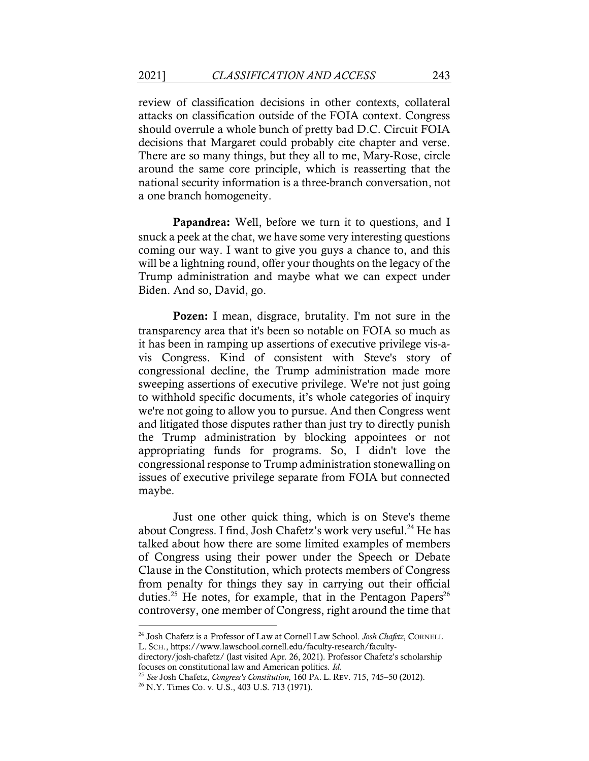review of classification decisions in other contexts, collateral attacks on classification outside of the FOIA context. Congress should overrule a whole bunch of pretty bad D.C. Circuit FOIA decisions that Margaret could probably cite chapter and verse. There are so many things, but they all to me, Mary-Rose, circle around the same core principle, which is reasserting that the national security information is a three-branch conversation, not a one branch homogeneity.

Papandrea: Well, before we turn it to questions, and I snuck a peek at the chat, we have some very interesting questions coming our way. I want to give you guys a chance to, and this will be a lightning round, offer your thoughts on the legacy of the Trump administration and maybe what we can expect under Biden. And so, David, go.

Pozen: I mean, disgrace, brutality. I'm not sure in the transparency area that it's been so notable on FOIA so much as it has been in ramping up assertions of executive privilege vis-avis Congress. Kind of consistent with Steve's story of congressional decline, the Trump administration made more sweeping assertions of executive privilege. We're not just going to withhold specific documents, it's whole categories of inquiry we're not going to allow you to pursue. And then Congress went and litigated those disputes rather than just try to directly punish the Trump administration by blocking appointees or not appropriating funds for programs. So, I didn't love the congressional response to Trump administration stonewalling on issues of executive privilege separate from FOIA but connected maybe.

Just one other quick thing, which is on Steve's theme about Congress. I find, Josh Chafetz's work very useful.<sup>24</sup> He has talked about how there are some limited examples of members of Congress using their power under the Speech or Debate Clause in the Constitution, which protects members of Congress from penalty for things they say in carrying out their official duties.<sup>25</sup> He notes, for example, that in the Pentagon Papers<sup>26</sup> controversy, one member of Congress, right around the time that

<sup>24</sup> Josh Chafetz is a Professor of Law at Cornell Law School. *Josh Chafetz*, CORNELL L. SCH., https://www.lawschool.cornell.edu/faculty-research/faculty-

directory/josh-chafetz/ (last visited Apr. 26, 2021). Professor Chafetz's scholarship focuses on constitutional law and American politics. *Id.* 

<sup>25</sup> *See* Josh Chafetz, *Congress's Constitution*, 160 PA. L. REV. 715, 745–50 (2012).

<sup>26</sup> N.Y. Times Co. v. U.S., 403 U.S. 713 (1971).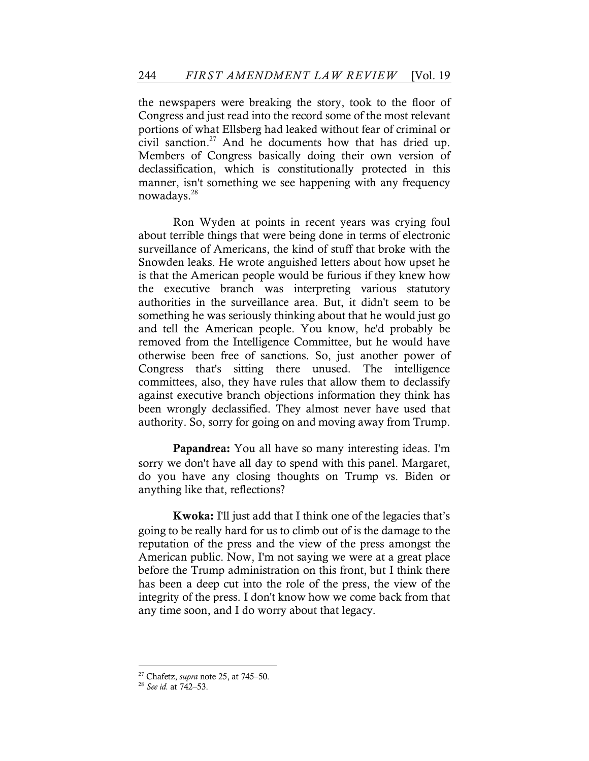the newspapers were breaking the story, took to the floor of Congress and just read into the record some of the most relevant portions of what Ellsberg had leaked without fear of criminal or civil sanction.27 And he documents how that has dried up. Members of Congress basically doing their own version of declassification, which is constitutionally protected in this manner, isn't something we see happening with any frequency nowadays.28

Ron Wyden at points in recent years was crying foul about terrible things that were being done in terms of electronic surveillance of Americans, the kind of stuff that broke with the Snowden leaks. He wrote anguished letters about how upset he is that the American people would be furious if they knew how the executive branch was interpreting various statutory authorities in the surveillance area. But, it didn't seem to be something he was seriously thinking about that he would just go and tell the American people. You know, he'd probably be removed from the Intelligence Committee, but he would have otherwise been free of sanctions. So, just another power of Congress that's sitting there unused. The intelligence committees, also, they have rules that allow them to declassify against executive branch objections information they think has been wrongly declassified. They almost never have used that authority. So, sorry for going on and moving away from Trump.

Papandrea: You all have so many interesting ideas. I'm sorry we don't have all day to spend with this panel. Margaret, do you have any closing thoughts on Trump vs. Biden or anything like that, reflections?

Kwoka: I'll just add that I think one of the legacies that's going to be really hard for us to climb out of is the damage to the reputation of the press and the view of the press amongst the American public. Now, I'm not saying we were at a great place before the Trump administration on this front, but I think there has been a deep cut into the role of the press, the view of the integrity of the press. I don't know how we come back from that any time soon, and I do worry about that legacy.

<sup>27</sup> Chafetz, *supra* note 25, at 745–50.

<sup>28</sup> *See id.* at 742–53.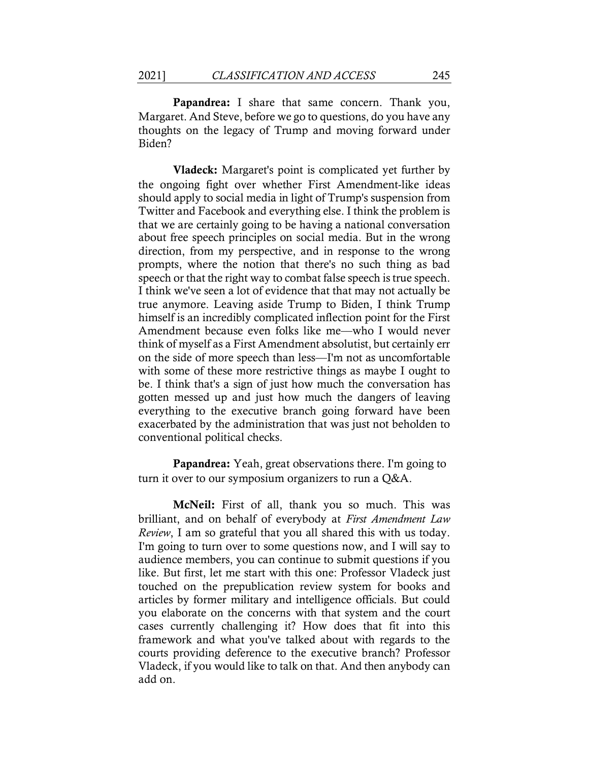Papandrea: I share that same concern. Thank you, Margaret. And Steve, before we go to questions, do you have any thoughts on the legacy of Trump and moving forward under Biden?

Vladeck: Margaret's point is complicated yet further by the ongoing fight over whether First Amendment-like ideas should apply to social media in light of Trump's suspension from Twitter and Facebook and everything else. I think the problem is that we are certainly going to be having a national conversation about free speech principles on social media. But in the wrong direction, from my perspective, and in response to the wrong prompts, where the notion that there's no such thing as bad speech or that the right way to combat false speech is true speech. I think we've seen a lot of evidence that that may not actually be true anymore. Leaving aside Trump to Biden, I think Trump himself is an incredibly complicated inflection point for the First Amendment because even folks like me––who I would never think of myself as a First Amendment absolutist, but certainly err on the side of more speech than less––I'm not as uncomfortable with some of these more restrictive things as maybe I ought to be. I think that's a sign of just how much the conversation has gotten messed up and just how much the dangers of leaving everything to the executive branch going forward have been exacerbated by the administration that was just not beholden to conventional political checks.

Papandrea: Yeah, great observations there. I'm going to turn it over to our symposium organizers to run a Q&A.

**McNeil:** First of all, thank you so much. This was brilliant, and on behalf of everybody at *First Amendment Law Review*, I am so grateful that you all shared this with us today. I'm going to turn over to some questions now, and I will say to audience members, you can continue to submit questions if you like. But first, let me start with this one: Professor Vladeck just touched on the prepublication review system for books and articles by former military and intelligence officials. But could you elaborate on the concerns with that system and the court cases currently challenging it? How does that fit into this framework and what you've talked about with regards to the courts providing deference to the executive branch? Professor Vladeck, if you would like to talk on that. And then anybody can add on.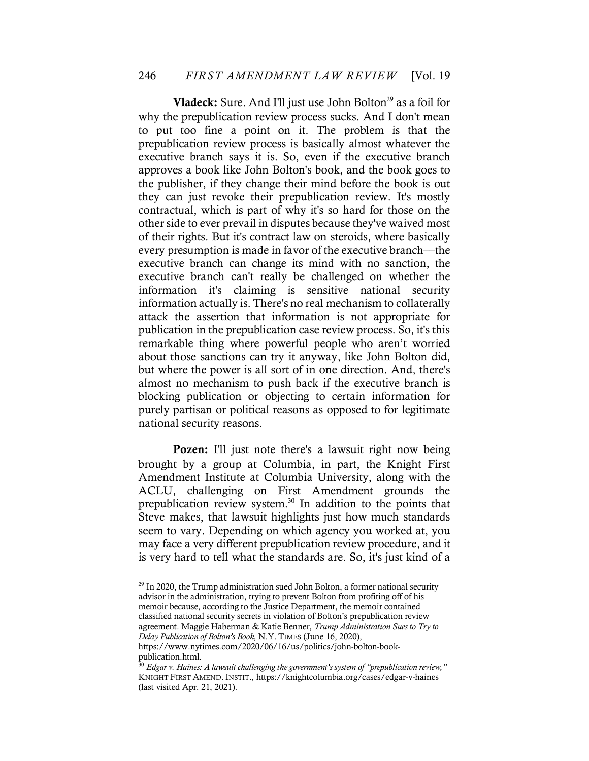Vladeck: Sure. And I'll just use John Bolton<sup>29</sup> as a foil for why the prepublication review process sucks. And I don't mean to put too fine a point on it. The problem is that the prepublication review process is basically almost whatever the executive branch says it is. So, even if the executive branch approves a book like John Bolton's book, and the book goes to the publisher, if they change their mind before the book is out they can just revoke their prepublication review. It's mostly contractual, which is part of why it's so hard for those on the other side to ever prevail in disputes because they've waived most of their rights. But it's contract law on steroids, where basically every presumption is made in favor of the executive branch––the executive branch can change its mind with no sanction, the executive branch can't really be challenged on whether the information it's claiming is sensitive national security information actually is. There's no real mechanism to collaterally attack the assertion that information is not appropriate for publication in the prepublication case review process. So, it's this remarkable thing where powerful people who aren't worried about those sanctions can try it anyway, like John Bolton did, but where the power is all sort of in one direction. And, there's almost no mechanism to push back if the executive branch is blocking publication or objecting to certain information for purely partisan or political reasons as opposed to for legitimate national security reasons.

Pozen: I'll just note there's a lawsuit right now being brought by a group at Columbia, in part, the Knight First Amendment Institute at Columbia University, along with the ACLU, challenging on First Amendment grounds the prepublication review system.30 In addition to the points that Steve makes, that lawsuit highlights just how much standards seem to vary. Depending on which agency you worked at, you may face a very different prepublication review procedure, and it is very hard to tell what the standards are. So, it's just kind of a

<sup>&</sup>lt;sup>29</sup> In 2020, the Trump administration sued John Bolton, a former national security advisor in the administration, trying to prevent Bolton from profiting off of his memoir because, according to the Justice Department, the memoir contained classified national security secrets in violation of Bolton's prepublication review agreement. Maggie Haberman & Katie Benner, *Trump Administration Sues to Try to Delay Publication of Bolton's Book*, N.Y. TIMES (June 16, 2020),

https://www.nytimes.com/2020/06/16/us/politics/john-bolton-bookpublication.html.

<sup>30</sup> *Edgar v. Haines: A lawsuit challenging the government's system of "prepublication review,"* KNIGHT FIRST AMEND. INSTIT., https://knightcolumbia.org/cases/edgar-v-haines (last visited Apr. 21, 2021).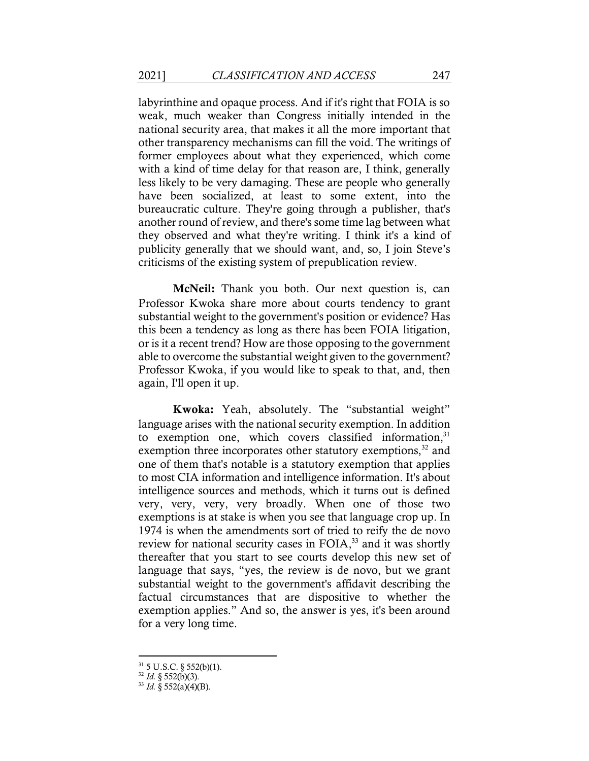labyrinthine and opaque process. And if it's right that FOIA is so weak, much weaker than Congress initially intended in the national security area, that makes it all the more important that other transparency mechanisms can fill the void. The writings of former employees about what they experienced, which come with a kind of time delay for that reason are, I think, generally less likely to be very damaging. These are people who generally have been socialized, at least to some extent, into the bureaucratic culture. They're going through a publisher, that's another round of review, and there's some time lag between what they observed and what they're writing. I think it's a kind of publicity generally that we should want, and, so, I join Steve's criticisms of the existing system of prepublication review.

McNeil: Thank you both. Our next question is, can Professor Kwoka share more about courts tendency to grant substantial weight to the government's position or evidence? Has this been a tendency as long as there has been FOIA litigation, or is it a recent trend? How are those opposing to the government able to overcome the substantial weight given to the government? Professor Kwoka, if you would like to speak to that, and, then again, I'll open it up.

Kwoka: Yeah, absolutely. The "substantial weight" language arises with the national security exemption. In addition to exemption one, which covers classified information, $31$ exemption three incorporates other statutory exemptions, $32$  and one of them that's notable is a statutory exemption that applies to most CIA information and intelligence information. It's about intelligence sources and methods, which it turns out is defined very, very, very, very broadly. When one of those two exemptions is at stake is when you see that language crop up. In 1974 is when the amendments sort of tried to reify the de novo review for national security cases in FOIA,<sup>33</sup> and it was shortly thereafter that you start to see courts develop this new set of language that says, "yes, the review is de novo, but we grant substantial weight to the government's affidavit describing the factual circumstances that are dispositive to whether the exemption applies." And so, the answer is yes, it's been around for a very long time.

 $31\,$  5 U.S.C. § 552(b)(1).

 $32$  *Id.* § 552(b)(3).

 $33$  *Id.*  $\frac{8}{3}$  552(a)(4)(B).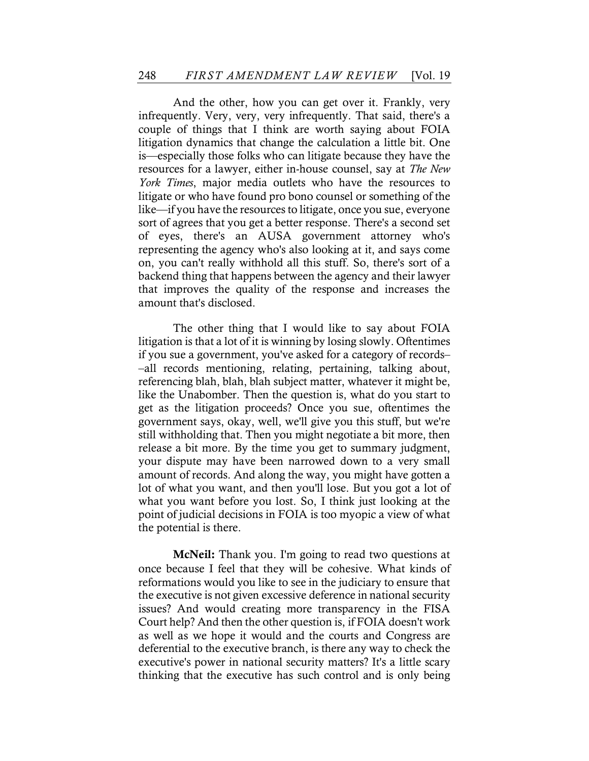And the other, how you can get over it. Frankly, very infrequently. Very, very, very infrequently. That said, there's a couple of things that I think are worth saying about FOIA litigation dynamics that change the calculation a little bit. One is––especially those folks who can litigate because they have the resources for a lawyer, either in-house counsel, say at *The New York Times*, major media outlets who have the resources to litigate or who have found pro bono counsel or something of the like––if you have the resources to litigate, once you sue, everyone sort of agrees that you get a better response. There's a second set of eyes, there's an AUSA government attorney who's representing the agency who's also looking at it, and says come on, you can't really withhold all this stuff. So, there's sort of a backend thing that happens between the agency and their lawyer that improves the quality of the response and increases the amount that's disclosed.

The other thing that I would like to say about FOIA litigation is that a lot of it is winning by losing slowly. Oftentimes if you sue a government, you've asked for a category of records– –all records mentioning, relating, pertaining, talking about, referencing blah, blah, blah subject matter, whatever it might be, like the Unabomber. Then the question is, what do you start to get as the litigation proceeds? Once you sue, oftentimes the government says, okay, well, we'll give you this stuff, but we're still withholding that. Then you might negotiate a bit more, then release a bit more. By the time you get to summary judgment, your dispute may have been narrowed down to a very small amount of records. And along the way, you might have gotten a lot of what you want, and then you'll lose. But you got a lot of what you want before you lost. So, I think just looking at the point of judicial decisions in FOIA is too myopic a view of what the potential is there.

McNeil: Thank you. I'm going to read two questions at once because I feel that they will be cohesive. What kinds of reformations would you like to see in the judiciary to ensure that the executive is not given excessive deference in national security issues? And would creating more transparency in the FISA Court help? And then the other question is, if FOIA doesn't work as well as we hope it would and the courts and Congress are deferential to the executive branch, is there any way to check the executive's power in national security matters? It's a little scary thinking that the executive has such control and is only being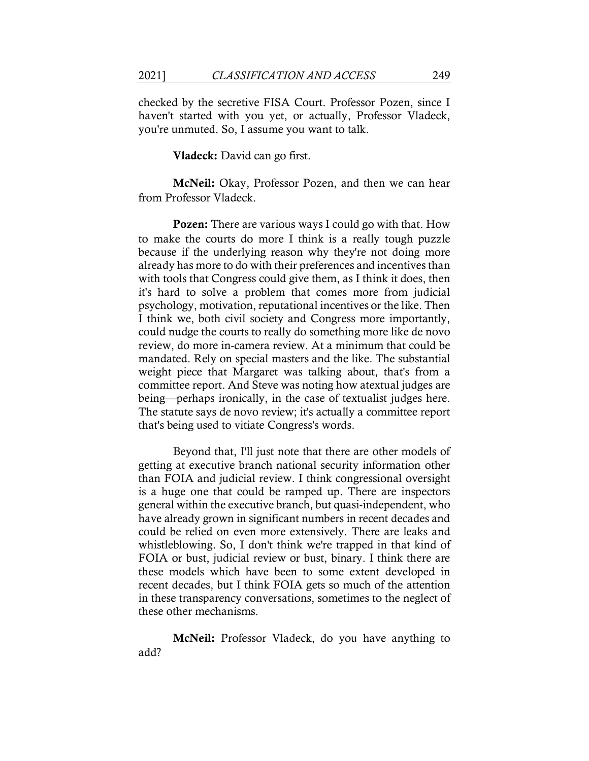checked by the secretive FISA Court. Professor Pozen, since I haven't started with you yet, or actually, Professor Vladeck, you're unmuted. So, I assume you want to talk.

Vladeck: David can go first.

McNeil: Okay, Professor Pozen, and then we can hear from Professor Vladeck.

Pozen: There are various ways I could go with that. How to make the courts do more I think is a really tough puzzle because if the underlying reason why they're not doing more already has more to do with their preferences and incentives than with tools that Congress could give them, as I think it does, then it's hard to solve a problem that comes more from judicial psychology, motivation, reputational incentives or the like. Then I think we, both civil society and Congress more importantly, could nudge the courts to really do something more like de novo review, do more in-camera review. At a minimum that could be mandated. Rely on special masters and the like. The substantial weight piece that Margaret was talking about, that's from a committee report. And Steve was noting how atextual judges are being––perhaps ironically, in the case of textualist judges here. The statute says de novo review; it's actually a committee report that's being used to vitiate Congress's words.

Beyond that, I'll just note that there are other models of getting at executive branch national security information other than FOIA and judicial review. I think congressional oversight is a huge one that could be ramped up. There are inspectors general within the executive branch, but quasi-independent, who have already grown in significant numbers in recent decades and could be relied on even more extensively. There are leaks and whistleblowing. So, I don't think we're trapped in that kind of FOIA or bust, judicial review or bust, binary. I think there are these models which have been to some extent developed in recent decades, but I think FOIA gets so much of the attention in these transparency conversations, sometimes to the neglect of these other mechanisms.

McNeil: Professor Vladeck, do you have anything to add?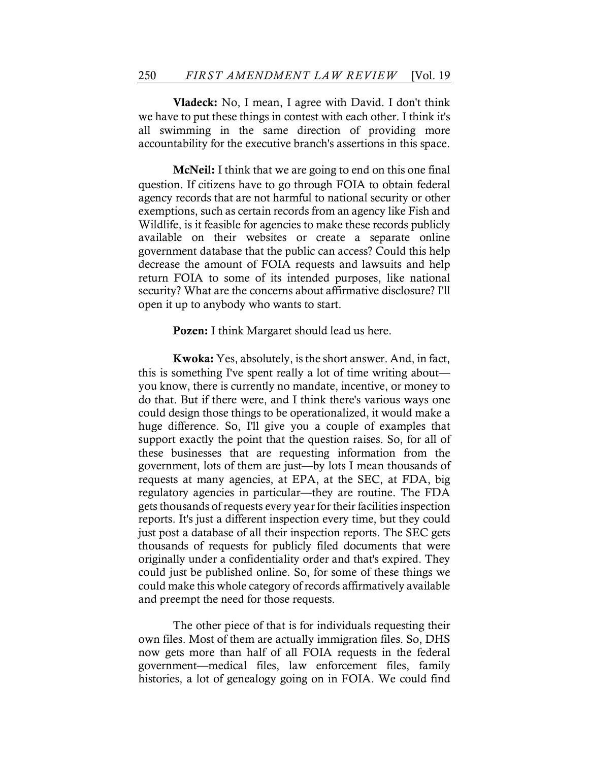Vladeck: No, I mean, I agree with David. I don't think we have to put these things in contest with each other. I think it's all swimming in the same direction of providing more accountability for the executive branch's assertions in this space.

McNeil: I think that we are going to end on this one final question. If citizens have to go through FOIA to obtain federal agency records that are not harmful to national security or other exemptions, such as certain records from an agency like Fish and Wildlife, is it feasible for agencies to make these records publicly available on their websites or create a separate online government database that the public can access? Could this help decrease the amount of FOIA requests and lawsuits and help return FOIA to some of its intended purposes, like national security? What are the concerns about affirmative disclosure? I'll open it up to anybody who wants to start.

Pozen: I think Margaret should lead us here.

Kwoka: Yes, absolutely, is the short answer. And, in fact, this is something I've spent really a lot of time writing about–– you know, there is currently no mandate, incentive, or money to do that. But if there were, and I think there's various ways one could design those things to be operationalized, it would make a huge difference. So, I'll give you a couple of examples that support exactly the point that the question raises. So, for all of these businesses that are requesting information from the government, lots of them are just––by lots I mean thousands of requests at many agencies, at EPA, at the SEC, at FDA, big regulatory agencies in particular––they are routine. The FDA gets thousands of requests every year for their facilities inspection reports. It's just a different inspection every time, but they could just post a database of all their inspection reports. The SEC gets thousands of requests for publicly filed documents that were originally under a confidentiality order and that's expired. They could just be published online. So, for some of these things we could make this whole category of records affirmatively available and preempt the need for those requests.

The other piece of that is for individuals requesting their own files. Most of them are actually immigration files. So, DHS now gets more than half of all FOIA requests in the federal government––medical files, law enforcement files, family histories, a lot of genealogy going on in FOIA. We could find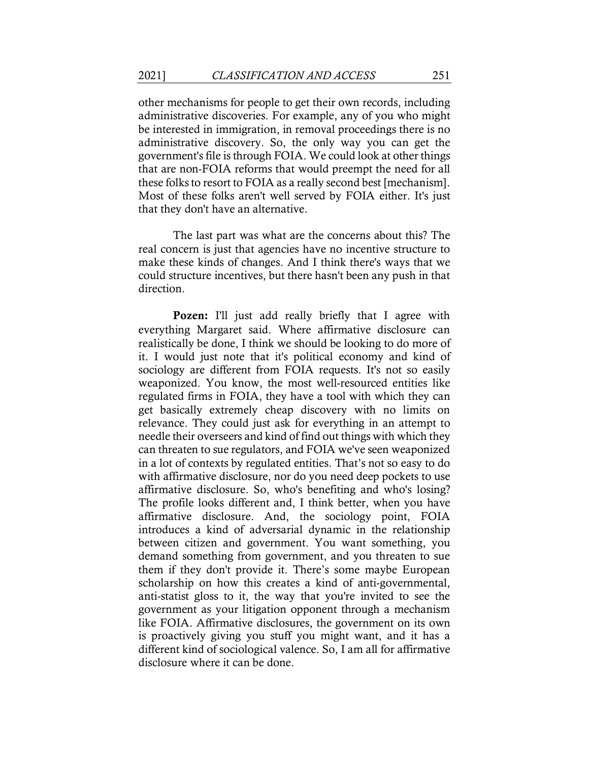other mechanisms for people to get their own records, including administrative discoveries. For example, any of you who might be interested in immigration, in removal proceedings there is no administrative discovery. So, the only way you can get the government's file is through FOIA. We could look at other things that are non-FOIA reforms that would preempt the need for all these folks to resort to FOIA as a really second best [mechanism]. Most of these folks aren't well served by FOIA either. It's just that they don't have an alternative.

The last part was what are the concerns about this? The real concern is just that agencies have no incentive structure to make these kinds of changes. And I think there's ways that we could structure incentives, but there hasn't been any push in that direction.

Pozen: I'll just add really briefly that I agree with everything Margaret said. Where affirmative disclosure can realistically be done, I think we should be looking to do more of it. I would just note that it's political economy and kind of sociology are different from FOIA requests. It's not so easily weaponized. You know, the most well-resourced entities like regulated firms in FOIA, they have a tool with which they can get basically extremely cheap discovery with no limits on relevance. They could just ask for everything in an attempt to needle their overseers and kind of find out things with which they can threaten to sue regulators, and FOIA we've seen weaponized in a lot of contexts by regulated entities. That's not so easy to do with affirmative disclosure, nor do you need deep pockets to use affirmative disclosure. So, who's benefiting and who's losing? The profile looks different and, I think better, when you have affirmative disclosure. And, the sociology point, FOIA introduces a kind of adversarial dynamic in the relationship between citizen and government. You want something, you demand something from government, and you threaten to sue them if they don't provide it. There's some maybe European scholarship on how this creates a kind of anti-governmental, anti-statist gloss to it, the way that you're invited to see the government as your litigation opponent through a mechanism like FOIA. Affirmative disclosures, the government on its own is proactively giving you stuff you might want, and it has a different kind of sociological valence. So, I am all for affirmative disclosure where it can be done.